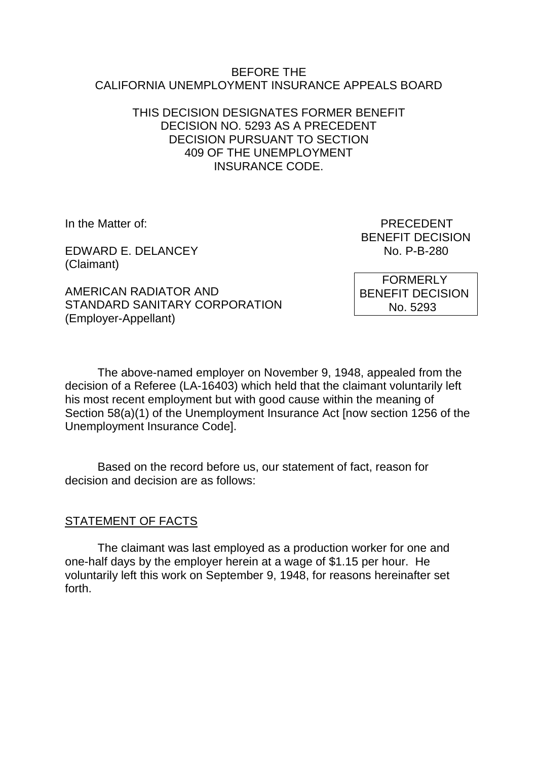#### BEFORE THE CALIFORNIA UNEMPLOYMENT INSURANCE APPEALS BOARD

### THIS DECISION DESIGNATES FORMER BENEFIT DECISION NO. 5293 AS A PRECEDENT DECISION PURSUANT TO SECTION 409 OF THE UNEMPLOYMENT INSURANCE CODE.

EDWARD F. DELANCEY NO. P-B-280 (Claimant)

AMERICAN RADIATOR AND STANDARD SANITARY CORPORATION (Employer-Appellant)

In the Matter of: **PRECEDENT** BENEFIT DECISION

> **FORMERLY** BENEFIT DECISION No. 5293

The above-named employer on November 9, 1948, appealed from the decision of a Referee (LA-16403) which held that the claimant voluntarily left his most recent employment but with good cause within the meaning of Section 58(a)(1) of the Unemployment Insurance Act [now section 1256 of the Unemployment Insurance Code].

Based on the record before us, our statement of fact, reason for decision and decision are as follows:

## STATEMENT OF FACTS

The claimant was last employed as a production worker for one and one-half days by the employer herein at a wage of \$1.15 per hour. He voluntarily left this work on September 9, 1948, for reasons hereinafter set forth.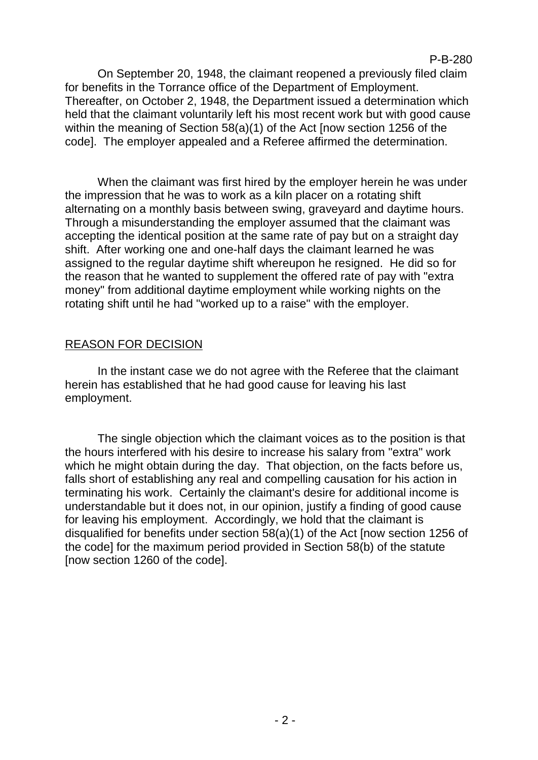P-B-280

On September 20, 1948, the claimant reopened a previously filed claim for benefits in the Torrance office of the Department of Employment. Thereafter, on October 2, 1948, the Department issued a determination which held that the claimant voluntarily left his most recent work but with good cause within the meaning of Section 58(a)(1) of the Act [now section 1256 of the code]. The employer appealed and a Referee affirmed the determination.

When the claimant was first hired by the employer herein he was under the impression that he was to work as a kiln placer on a rotating shift alternating on a monthly basis between swing, graveyard and daytime hours. Through a misunderstanding the employer assumed that the claimant was accepting the identical position at the same rate of pay but on a straight day shift. After working one and one-half days the claimant learned he was assigned to the regular daytime shift whereupon he resigned. He did so for the reason that he wanted to supplement the offered rate of pay with "extra money" from additional daytime employment while working nights on the rotating shift until he had "worked up to a raise" with the employer.

# REASON FOR DECISION

In the instant case we do not agree with the Referee that the claimant herein has established that he had good cause for leaving his last employment.

The single objection which the claimant voices as to the position is that the hours interfered with his desire to increase his salary from "extra" work which he might obtain during the day. That objection, on the facts before us, falls short of establishing any real and compelling causation for his action in terminating his work. Certainly the claimant's desire for additional income is understandable but it does not, in our opinion, justify a finding of good cause for leaving his employment. Accordingly, we hold that the claimant is disqualified for benefits under section 58(a)(1) of the Act [now section 1256 of the code] for the maximum period provided in Section 58(b) of the statute [now section 1260 of the code].